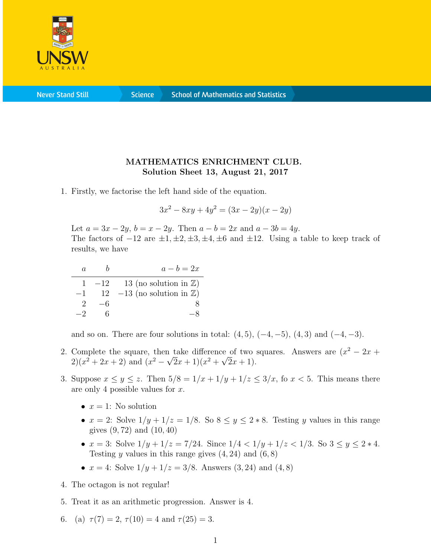

**Never Stand Still** 

**Science** 

## MATHEMATICS ENRICHMENT CLUB. Solution Sheet 13, August 21, 2017

1. Firstly, we factorise the left hand side of the equation.

$$
3x^2 - 8xy + 4y^2 = (3x - 2y)(x - 2y)
$$

Let  $a = 3x - 2y$ ,  $b = x - 2y$ . Then  $a - b = 2x$  and  $a - 3b = 4y$ . The factors of  $-12$  are  $\pm 1, \pm 2, \pm 3, \pm 4, \pm 6$  and  $\pm 12$ . Using a table to keep track of results, we have

| $\alpha$      |      | $a-b=2x$                                  |
|---------------|------|-------------------------------------------|
|               |      | $1 -12$ 13 (no solution in $\mathbb{Z}$ ) |
| $-1$          | - 12 | $-13$ (no solution in $\mathbb{Z}$ )      |
| $\mathcal{L}$ | —fi  |                                           |
|               |      |                                           |

and so on. There are four solutions in total:  $(4, 5)$ ,  $(-4, -5)$ ,  $(4, 3)$  and  $(-4, -3)$ .

- 2. Complete the square, then take difference of two squares. Answers are  $(x^2 2x + y^2)$  $2(x^2+2x+2)$  and  $(x^2-\sqrt{2}x+1)(x^2+\sqrt{2}x+1)$ .
- 3. Suppose  $x \leq y \leq z$ . Then  $5/8 = 1/x + 1/y + 1/z \leq 3/x$ , fo  $x < 5$ . This means there are only 4 possible values for x.
	- $x = 1$ : No solution
	- $x = 2$ : Solve  $1/y + 1/z = 1/8$ . So  $8 \le y \le 2 * 8$ . Testing y values in this range gives (9, 72) and (10, 40)
	- $x = 3$ : Solve  $1/y + 1/z = 7/24$ . Since  $1/4 < 1/y + 1/z < 1/3$ . So  $3 \le y \le 2 * 4$ . Testing y values in this range gives  $(4, 24)$  and  $(6, 8)$
	- $x = 4$ : Solve  $1/y + 1/z = 3/8$ . Answers  $(3, 24)$  and  $(4, 8)$
- 4. The octagon is not regular!
- 5. Treat it as an arithmetic progression. Answer is 4.
- 6. (a)  $\tau(7) = 2, \tau(10) = 4$  and  $\tau(25) = 3$ .